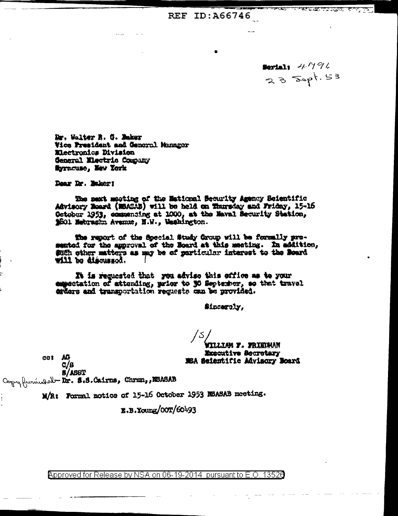REF ID: A66746

Bertal: 4794  $235$  Sept. 53

<u> Andrew Alexandr (Andrew Alexandr Alexandr Alexandr Alexandr Alexandr Alexandr Alexandr Alexandr Alexandr Alexandr Alexandr Alexandr Alexandr Alexandr Alexandr Alexandr Alexandr Alexandr Alexandr Alexandr Alexandr Alexand</u>

Dr. Walter B. G. Baker Vice President and General Manager Electronics Division Ceneral Mectric Company Syracuse, New York

Dear Dr. Baker!

The next meeting of the Mational Security Agency Seientific Advisory Board (NBASAB) will be held on Thursday and Friday, 15-16 October 1953, commensing at 1000, at the Maval Becurity Station, \$501 Mebrashn Avenue, N.W., Washington.

The report of the Special Study Group will be formally pre-sented for the approval of the Board at this meeting. In addition, such other matters as may be of particular interest to the Board vill be discussed.

It is requested that you advise this office as to your expectation of attending, prior to 30 September, so that travel erders and transportation requests can be provided.

Sincerely,

WILLIAM Y. WRIEDMAN

Morecutive Secretary MSA Seientific Advisory Board

**8/ASST** Copy furinded-Dr. 8.8. Cairns, Chron, BASAB

 $cot$   $AG$ 

 $c/s$ 

M/R: Formal notice of 15-16 October 1953 NSASAS meeting.

E.B.Young/00T/60493

Approved for Release by NSA on 06-19-2014 pursuant to E.O. 13526